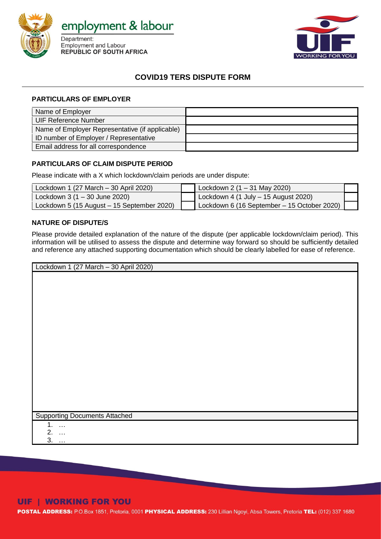

employment & labour

Department: **Employment and Labour REPUBLIC OF SOUTH AFRICA** 



## **COVID19 TERS DISPUTE FORM**

### **PARTICULARS OF EMPLOYER**

| Name of Employer                                |  |
|-------------------------------------------------|--|
| UIF Reference Number                            |  |
| Name of Employer Representative (if applicable) |  |
| ID number of Employer / Representative          |  |
| Email address for all correspondence            |  |

### **PARTICULARS OF CLAIM DISPUTE PERIOD**

Please indicate with a X which lockdown/claim periods are under dispute:

| Lockdown 1 (27 March $-$ 30 April 2020)    | Lockdown 2 $(1 - 31$ May 2020)              |  |
|--------------------------------------------|---------------------------------------------|--|
| Lockdown 3 (1 - 30 June 2020)              | Lockdown 4 (1 July $-$ 15 August 2020)      |  |
| Lockdown 5 (15 August - 15 September 2020) | Lockdown 6 (16 September - 15 October 2020) |  |

### **NATURE OF DISPUTE/S**

Please provide detailed explanation of the nature of the dispute (per applicable lockdown/claim period). This information will be utilised to assess the dispute and determine way forward so should be sufficiently detailed and reference any attached supporting documentation which should be clearly labelled for ease of reference.

| Lockdown 1 (27 March - 30 April 2020) |  |
|---------------------------------------|--|
|                                       |  |
|                                       |  |
|                                       |  |
|                                       |  |
|                                       |  |
|                                       |  |
|                                       |  |
|                                       |  |
|                                       |  |
|                                       |  |
|                                       |  |
|                                       |  |
|                                       |  |
|                                       |  |
|                                       |  |
|                                       |  |
| <b>Supporting Documents Attached</b>  |  |
| 1.                                    |  |
| $\ldots$<br>$\Omega$                  |  |

2. … 3. …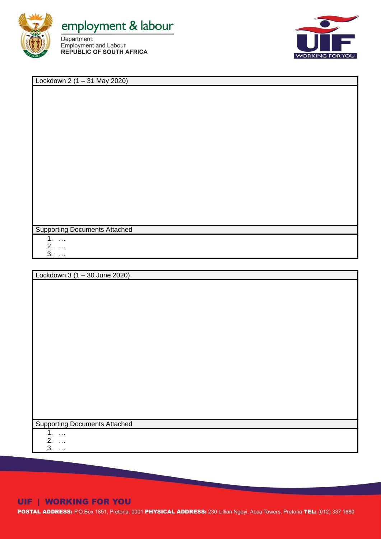



Lockdown 2 (1 – 31 May 2020)

Supporting Documents Attached

1. …

2. …

3. …

Lockdown 3 (1 – 30 June 2020)

Supporting Documents Attached

1. …

2. … 3. …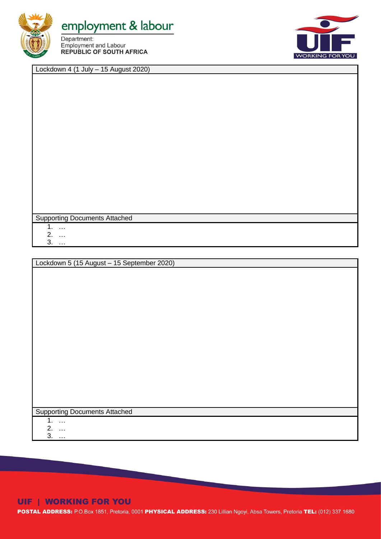

# employment & labour

Department: Employment and Labour **REPUBLIC OF SOUTH AFRICA** 



Lockdown 4 (1 July – 15 August 2020)

Supporting Documents Attached

1. …

2. …

3. …

Lockdown 5 (15 August – 15 September 2020)

Supporting Documents Attached

1. …

2. …

3. …